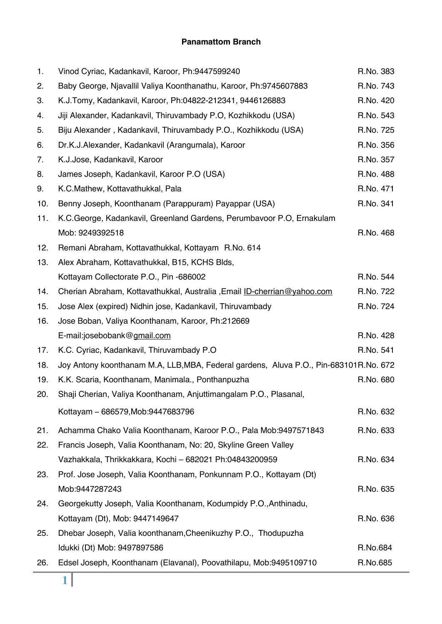#### **Panamattom Branch**

| 1.  | Vinod Cyriac, Kadankavil, Karoor, Ph:9447599240                                      | R.No. 383 |
|-----|--------------------------------------------------------------------------------------|-----------|
| 2.  | Baby George, Njavallil Valiya Koonthanathu, Karoor, Ph:9745607883                    | R.No. 743 |
| 3.  | K.J.Tomy, Kadankavil, Karoor, Ph:04822-212341, 9446126883                            | R.No. 420 |
| 4.  | Jiji Alexander, Kadankavil, Thiruvambady P.O, Kozhikkodu (USA)                       | R.No. 543 |
| 5.  | Biju Alexander, Kadankavil, Thiruvambady P.O., Kozhikkodu (USA)                      | R.No. 725 |
| 6.  | Dr.K.J.Alexander, Kadankavil (Arangumala), Karoor                                    | R.No. 356 |
| 7.  | K.J.Jose, Kadankavil, Karoor                                                         | R.No. 357 |
| 8.  | James Joseph, Kadankavil, Karoor P.O (USA)                                           | R.No. 488 |
| 9.  | K.C.Mathew, Kottavathukkal, Pala                                                     | R.No. 471 |
| 10. | Benny Joseph, Koonthanam (Parappuram) Payappar (USA)                                 | R.No. 341 |
| 11. | K.C.George, Kadankavil, Greenland Gardens, Perumbavoor P.O, Ernakulam                |           |
|     | Mob: 9249392518                                                                      | R.No. 468 |
| 12. | Remani Abraham, Kottavathukkal, Kottayam R.No. 614                                   |           |
| 13. | Alex Abraham, Kottavathukkal, B15, KCHS Blds,                                        |           |
|     | Kottayam Collectorate P.O., Pin -686002                                              | R.No. 544 |
| 14. | Cherian Abraham, Kottavathukkal, Australia, Email ID-cherrian@yahoo.com              | R.No. 722 |
| 15. | Jose Alex (expired) Nidhin jose, Kadankavil, Thiruvambady                            | R.No. 724 |
| 16. | Jose Boban, Valiya Koonthanam, Karoor, Ph:212669                                     |           |
|     | E-mail:josebobank@gmail.com                                                          | R.No. 428 |
| 17. | K.C. Cyriac, Kadankavil, Thiruvambady P.O.                                           | R.No. 541 |
| 18. | Joy Antony koonthanam M.A, LLB,MBA, Federal gardens, Aluva P.O., Pin-683101R.No. 672 |           |
| 19. | K.K. Scaria, Koonthanam, Manimala., Ponthanpuzha                                     | R.No. 680 |
| 20. | Shaji Cherian, Valiya Koonthanam, Anjuttimangalam P.O., Plasanal,                    |           |
|     | Kottayam - 686579, Mob: 9447683796                                                   | R.No. 632 |
| 21. | Achamma Chako Valia Koonthanam, Karoor P.O., Pala Mob:9497571843                     | R.No. 633 |
| 22. | Francis Joseph, Valia Koonthanam, No: 20, Skyline Green Valley                       |           |
|     | Vazhakkala, Thrikkakkara, Kochi - 682021 Ph:04843200959                              | R.No. 634 |
| 23. | Prof. Jose Joseph, Valia Koonthanam, Ponkunnam P.O., Kottayam (Dt)                   |           |
|     | Mob:9447287243                                                                       | R.No. 635 |
| 24. | Georgekutty Joseph, Valia Koonthanam, Kodumpidy P.O., Anthinadu,                     |           |
|     | Kottayam (Dt), Mob: 9447149647                                                       | R.No. 636 |
| 25. | Dhebar Joseph, Valia koonthanam, Cheenikuzhy P.O., Thodupuzha                        |           |
|     | Idukki (Dt) Mob: 9497897586                                                          | R.No.684  |
| 26. | Edsel Joseph, Koonthanam (Elavanal), Poovathilapu, Mob:9495109710                    | R.No.685  |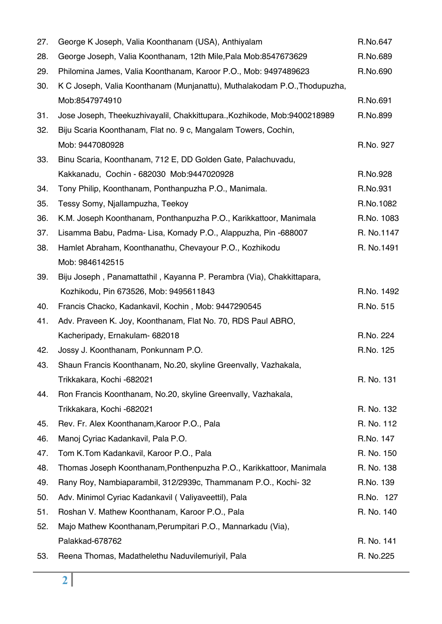| 27. | George K Joseph, Valia Koonthanam (USA), Anthiyalam                       | R.No.647   |
|-----|---------------------------------------------------------------------------|------------|
| 28. | George Joseph, Valia Koonthanam, 12th Mile, Pala Mob:8547673629           | R.No.689   |
| 29. | Philomina James, Valia Koonthanam, Karoor P.O., Mob: 9497489623           | R.No.690   |
| 30. | K C Joseph, Valia Koonthanam (Munjanattu), Muthalakodam P.O., Thodupuzha, |            |
|     | Mob:8547974910                                                            | R.No.691   |
| 31. | Jose Joseph, Theekuzhivayalil, Chakkittupara., Kozhikode, Mob:9400218989  | R.No.899   |
| 32. | Biju Scaria Koonthanam, Flat no. 9 c, Mangalam Towers, Cochin,            |            |
|     | Mob: 9447080928                                                           | R.No. 927  |
| 33. | Binu Scaria, Koonthanam, 712 E, DD Golden Gate, Palachuvadu,              |            |
|     | Kakkanadu, Cochin - 682030 Mob:9447020928                                 | R.No.928   |
| 34. | Tony Philip, Koonthanam, Ponthanpuzha P.O., Manimala.                     | R.No.931   |
| 35. | Tessy Somy, Njallampuzha, Teekoy                                          | R.No.1082  |
| 36. | K.M. Joseph Koonthanam, Ponthanpuzha P.O., Karikkattoor, Manimala         | R.No. 1083 |
| 37. | Lisamma Babu, Padma- Lisa, Komady P.O., Alappuzha, Pin -688007            | R. No.1147 |
| 38. | Hamlet Abraham, Koonthanathu, Chevayour P.O., Kozhikodu                   | R. No.1491 |
|     | Mob: 9846142515                                                           |            |
| 39. | Biju Joseph, Panamattathil, Kayanna P. Perambra (Via), Chakkittapara,     |            |
|     | Kozhikodu, Pin 673526, Mob: 9495611843                                    | R.No. 1492 |
| 40. | Francis Chacko, Kadankavil, Kochin, Mob: 9447290545                       | R.No. 515  |
| 41. | Adv. Praveen K. Joy, Koonthanam, Flat No. 70, RDS Paul ABRO,              |            |
|     | Kacheripady, Ernakulam- 682018                                            | R.No. 224  |
| 42. | Jossy J. Koonthanam, Ponkunnam P.O.                                       | R.No. 125  |
| 43. | Shaun Francis Koonthanam, No.20, skyline Greenvally, Vazhakala,           |            |
|     | Trikkakara, Kochi -682021                                                 | R. No. 131 |
| 44. | Ron Francis Koonthanam, No.20, skyline Greenvally, Vazhakala,             |            |
|     | Trikkakara, Kochi -682021                                                 | R. No. 132 |
| 45. | Rev. Fr. Alex Koonthanam, Karoor P.O., Pala                               | R. No. 112 |
| 46. | Manoj Cyriac Kadankavil, Pala P.O.                                        | R.No. 147  |
| 47. | Tom K.Tom Kadankavil, Karoor P.O., Pala                                   | R. No. 150 |
| 48. | Thomas Joseph Koonthanam, Ponthenpuzha P.O., Karikkattoor, Manimala       | R. No. 138 |
| 49. | Rany Roy, Nambiaparambil, 312/2939c, Thammanam P.O., Kochi-32             | R.No. 139  |
| 50. | Adv. Minimol Cyriac Kadankavil (Valiyaveettil), Pala                      | R.No. 127  |
| 51. | Roshan V. Mathew Koonthanam, Karoor P.O., Pala                            | R. No. 140 |
| 52. | Majo Mathew Koonthanam, Perumpitari P.O., Mannarkadu (Via),               |            |
|     | Palakkad-678762                                                           | R. No. 141 |
| 53. | Reena Thomas, Madathelethu Naduvilemuriyil, Pala                          | R. No.225  |
|     |                                                                           |            |

Ξ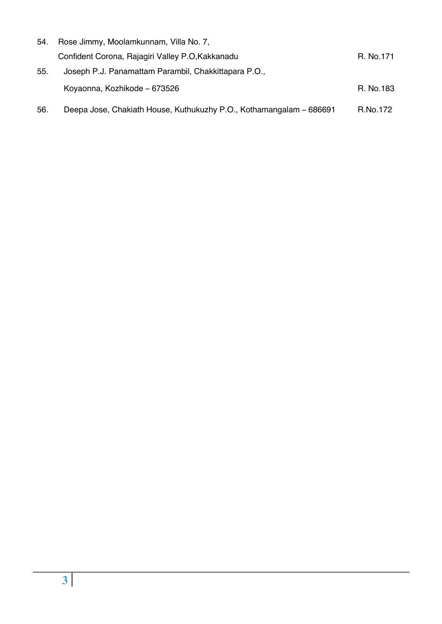| 54. | Rose Jimmy, Moolamkunnam, Villa No. 7,                              |           |
|-----|---------------------------------------------------------------------|-----------|
|     | Confident Corona, Rajagiri Valley P.O.Kakkanadu                     | R. No.171 |
| 55. | Joseph P.J. Panamattam Parambil, Chakkittapara P.O.,                |           |
|     | Koyaonna, Kozhikode – 673526                                        | R. No.183 |
| 56. | Deepa Jose, Chakiath House, Kuthukuzhy P.O., Kothamangalam – 686691 | R.No.172  |

Ξ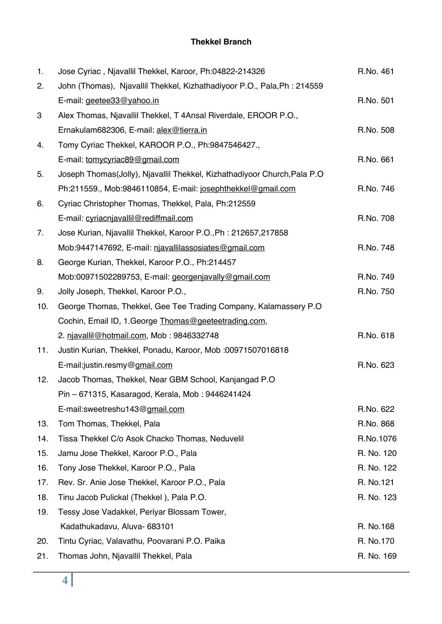### **Thekkel Branch**

| 1.  | Jose Cyriac, Njavallil Thekkel, Karoor, Ph:04822-214326                  | R.No. 461  |
|-----|--------------------------------------------------------------------------|------------|
| 2.  | John (Thomas), Njavallil Thekkel, Kizhathadiyoor P.O., Pala, Ph: 214559  |            |
|     | E-mail: geetee33@yahoo.in                                                | R.No. 501  |
| 3   | Alex Thomas, Njavallil Thekkel, T 4Ansal Riverdale, EROOR P.O.,          |            |
|     | Ernakulam682306, E-mail: alex@tierra.in                                  | R.No. 508  |
| 4.  | Tomy Cyriac Thekkel, KAROOR P.O., Ph:9847546427.,                        |            |
|     | E-mail: tomycyriac89@gmail.com                                           | R.No. 661  |
| 5.  | Joseph Thomas(Jolly), Njavallil Thekkel, Kizhathadiyoor Church, Pala P.O |            |
|     | Ph:211559., Mob:9846110854, E-mail: josephthekkel@gmail.com              | R.No. 746  |
| 6.  | Cyriac Christopher Thomas, Thekkel, Pala, Ph:212559                      |            |
|     | E-mail: cyriacnjavallil@rediffmail.com                                   | R.No. 708  |
| 7.  | Jose Kurian, Njavallil Thekkel, Karoor P.O., Ph: 212657, 217858          |            |
|     | Mob:9447147692, E-mail: niavallilassosiates@gmail.com                    | R.No. 748  |
| 8.  | George Kurian, Thekkel, Karoor P.O., Ph:214457                           |            |
|     | Mob:00971502289753, E-mail: georgenjavally@gmail.com                     | R.No. 749  |
| 9.  | Jolly Joseph, Thekkel, Karoor P.O.,                                      | R.No. 750  |
| 10. | George Thomas, Thekkel, Gee Tee Trading Company, Kalamassery P.O.        |            |
|     | Cochin, Email ID, 1. George Thomas@geeteetrading.com,                    |            |
|     | 2. njavallil@hotmail.com, Mob: 9846332748                                | R.No. 618  |
| 11. | Justin Kurian, Thekkel, Ponadu, Karoor, Mob :00971507016818              |            |
|     | E-mail:justin.resmy@gmail.com                                            | R.No. 623  |
| 12. | Jacob Thomas, Thekkel, Near GBM School, Kanjangad P.O.                   |            |
|     | Pin - 671315, Kasaragod, Kerala, Mob: 9446241424                         |            |
|     | E-mail:sweetreshu143@gmail.com                                           | R.No. 622  |
| 13. | Tom Thomas, Thekkel, Pala                                                | R.No. 868  |
| 14. | Tissa Thekkel C/o Asok Chacko Thomas, Neduvelil                          | R.No.1076  |
| 15. | Jamu Jose Thekkel, Karoor P.O., Pala                                     | R. No. 120 |
| 16. | Tony Jose Thekkel, Karoor P.O., Pala                                     | R. No. 122 |
| 17. | Rev. Sr. Anie Jose Thekkel, Karoor P.O., Pala                            | R. No.121  |
| 18. | Tinu Jacob Pulickal (Thekkel), Pala P.O.                                 | R. No. 123 |
| 19. | Tessy Jose Vadakkel, Periyar Blossam Tower,                              |            |
|     | Kadathukadavu, Aluva- 683101                                             | R. No.168  |
| 20. | Tintu Cyriac, Valavathu, Poovarani P.O. Paika                            | R. No.170  |
| 21. | Thomas John, Njavallil Thekkel, Pala                                     | R. No. 169 |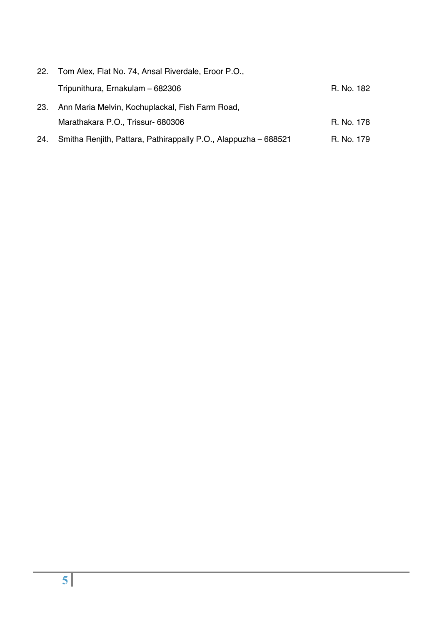| 22.  | Tom Alex, Flat No. 74, Ansal Riverdale, Eroor P.O.,             |            |
|------|-----------------------------------------------------------------|------------|
|      | Tripunithura, Ernakulam - 682306                                | R. No. 182 |
| -23. | Ann Maria Melvin, Kochuplackal, Fish Farm Road,                 |            |
|      | Marathakara P.O., Trissur-680306                                | R. No. 178 |
| 24.  | Smitha Renjith, Pattara, Pathirappally P.O., Alappuzha - 688521 | R. No. 179 |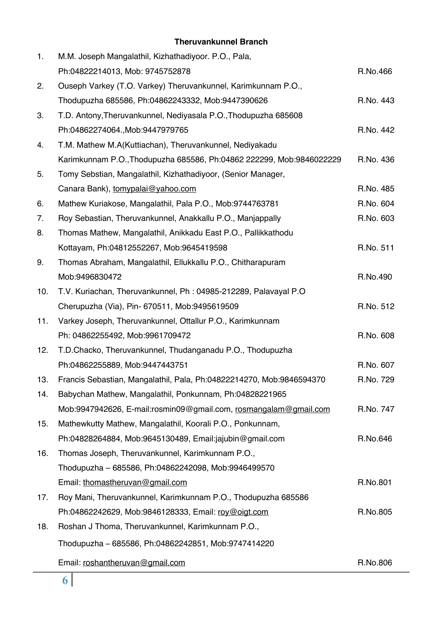#### **Theruvankunnel Branch**

| 1.  | M.M. Joseph Mangalathil, Kizhathadiyoor. P.O., Pala,                 |           |
|-----|----------------------------------------------------------------------|-----------|
|     | Ph:04822214013, Mob: 9745752878                                      | R.No.466  |
| 2.  | Ouseph Varkey (T.O. Varkey) Theruvankunnel, Karimkunnam P.O.,        |           |
|     | Thodupuzha 685586, Ph:04862243332, Mob:9447390626                    | R.No. 443 |
| 3.  | T.D. Antony, Theruvankunnel, Nediyasala P.O., Thodupuzha 685608      |           |
|     | Ph:04862274064., Mob:9447979765                                      | R.No. 442 |
| 4.  | T.M. Mathew M.A(Kuttiachan), Theruvankunnel, Nediyakadu              |           |
|     | Karimkunnam P.O., Thodupuzha 685586, Ph:04862 222299, Mob:9846022229 | R.No. 436 |
| 5.  | Tomy Sebstian, Mangalathil, Kizhathadiyoor, (Senior Manager,         |           |
|     | Canara Bank), tomypalai@yahoo.com                                    | R.No. 485 |
| 6.  | Mathew Kuriakose, Mangalathil, Pala P.O., Mob:9744763781             | R.No. 604 |
| 7.  | Roy Sebastian, Theruvankunnel, Anakkallu P.O., Manjappally           | R.No. 603 |
| 8.  | Thomas Mathew, Mangalathil, Anikkadu East P.O., Pallikkathodu        |           |
|     | Kottayam, Ph:04812552267, Mob:9645419598                             | R.No. 511 |
| 9.  | Thomas Abraham, Mangalathil, Ellukkallu P.O., Chitharapuram          |           |
|     | Mob:9496830472                                                       | R.No.490  |
| 10. | T.V. Kuriachan, Theruvankunnel, Ph: 04985-212289, Palavayal P.O      |           |
|     | Cherupuzha (Via), Pin- 670511, Mob:9495619509                        | R.No. 512 |
| 11. | Varkey Joseph, Theruvankunnel, Ottallur P.O., Karimkunnam            |           |
|     | Ph: 04862255492, Mob:9961709472                                      | R.No. 608 |
| 12. | T.D.Chacko, Theruvankunnel, Thudanganadu P.O., Thodupuzha            |           |
|     | Ph:04862255889, Mob:9447443751                                       | R.No. 607 |
| 13. | Francis Sebastian, Mangalathil, Pala, Ph:04822214270, Mob:9846594370 | R.No. 729 |
| 14. | Babychan Mathew, Mangalathil, Ponkunnam, Ph:04828221965              |           |
|     | Mob:9947942626, E-mail:rosmin09@gmail.com, rosmangalam@gmail.com     | R.No. 747 |
| 15. | Mathewkutty Mathew, Mangalathil, Koorali P.O., Ponkunnam,            |           |
|     | Ph:04828264884, Mob:9645130489, Email:jajubin@gmail.com              | R.No.646  |
| 16. | Thomas Joseph, Theruvankunnel, Karimkunnam P.O.,                     |           |
|     | Thodupuzha - 685586, Ph:04862242098, Mob:9946499570                  |           |
|     | Email: thomastheruvan@gmail.com                                      | R.No.801  |
| 17. | Roy Mani, Theruvankunnel, Karimkunnam P.O., Thodupuzha 685586        |           |
|     | Ph:04862242629, Mob:9846128333, Email: roy@oigt.com                  | R.No.805  |
| 18. | Roshan J Thoma, Theruvankunnel, Karimkunnam P.O.,                    |           |
|     | Thodupuzha - 685586, Ph:04862242851, Mob:9747414220                  |           |
|     | Email: roshantheruvan@gmail.com                                      | R.No.806  |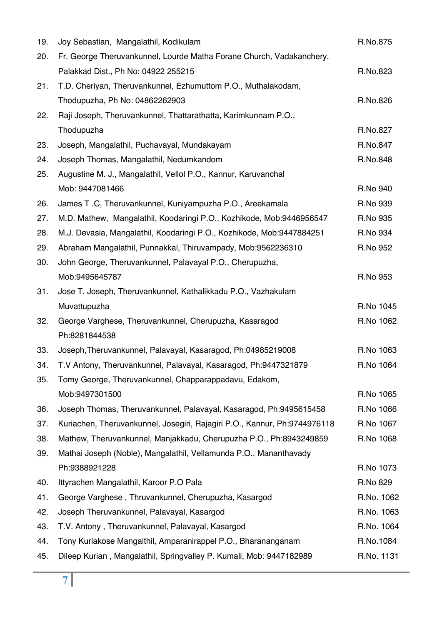| 19. | Joy Sebastian, Mangalathil, Kodikulam                                     | R.No.875   |
|-----|---------------------------------------------------------------------------|------------|
| 20. | Fr. George Theruvankunnel, Lourde Matha Forane Church, Vadakanchery,      |            |
|     | Palakkad Dist., Ph No: 04922 255215                                       | R.No.823   |
| 21. | T.D. Cheriyan, Theruvankunnel, Ezhumuttom P.O., Muthalakodam,             |            |
|     | Thodupuzha, Ph No: 04862262903                                            | R.No.826   |
| 22. | Raji Joseph, Theruvankunnel, Thattarathatta, Karimkunnam P.O.,            |            |
|     | Thodupuzha                                                                | R.No.827   |
| 23. | Joseph, Mangalathil, Puchavayal, Mundakayam                               | R.No.847   |
| 24. | Joseph Thomas, Mangalathil, Nedumkandom                                   | R.No.848   |
| 25. | Augustine M. J., Mangalathil, Vellol P.O., Kannur, Karuvanchal            |            |
|     | Mob: 9447081466                                                           | R.No 940   |
| 26. | James T.C, Theruvankunnel, Kuniyampuzha P.O., Areekamala                  | R.No 939   |
| 27. | M.D. Mathew, Mangalathil, Koodaringi P.O., Kozhikode, Mob:9446956547      | R.No 935   |
| 28. | M.J. Devasia, Mangalathil, Koodaringi P.O., Kozhikode, Mob:9447884251     | R.No 934   |
| 29. | Abraham Mangalathil, Punnakkal, Thiruvampady, Mob:9562236310              | R.No 952   |
| 30. | John George, Theruvankunnel, Palavayal P.O., Cherupuzha,                  |            |
|     | Mob:9495645787                                                            | R.No 953   |
| 31. | Jose T. Joseph, Theruvankunnel, Kathalikkadu P.O., Vazhakulam             |            |
|     | Muvattupuzha                                                              | R.No 1045  |
| 32. | George Varghese, Theruvankunnel, Cherupuzha, Kasaragod                    | R.No 1062  |
|     | Ph:8281844538                                                             |            |
| 33. | Joseph, Theruvankunnel, Palavayal, Kasaragod, Ph:04985219008              | R.No 1063  |
| 34. | T.V Antony, Theruvankunnel, Palavayal, Kasaragod, Ph:9447321879           | R.No 1064  |
| 35. | Tomy George, Theruvankunnel, Chapparappadavu, Edakom,                     |            |
|     | Mob:9497301500                                                            | R.No 1065  |
| 36. | Joseph Thomas, Theruvankunnel, Palavayal, Kasaragod, Ph:9495615458        | R.No 1066  |
| 37. | Kuriachen, Theruvankunnel, Josegiri, Rajagiri P.O., Kannur, Ph:9744976118 | R.No 1067  |
| 38. | Mathew, Theruvankunnel, Manjakkadu, Cherupuzha P.O., Ph:8943249859        | R.No 1068  |
| 39. | Mathai Joseph (Noble), Mangalathil, Vellamunda P.O., Mananthavady         |            |
|     | Ph:9388921228                                                             | R.No 1073  |
| 40. | Ittyrachen Mangalathil, Karoor P.O Pala                                   | R.No 829   |
| 41. | George Varghese, Thruvankunnel, Cherupuzha, Kasargod                      | R.No. 1062 |
| 42. | Joseph Theruvankunnel, Palavayal, Kasargod                                | R.No. 1063 |
| 43. | T.V. Antony, Theruvankunnel, Palavayal, Kasargod                          | R.No. 1064 |
| 44. | Tony Kuriakose Mangalthil, Amparanirappel P.O., Bharananganam             | R.No.1084  |
| 45. | Dileep Kurian, Mangalathil, Springvalley P. Kumali, Mob: 9447182989       | R.No. 1131 |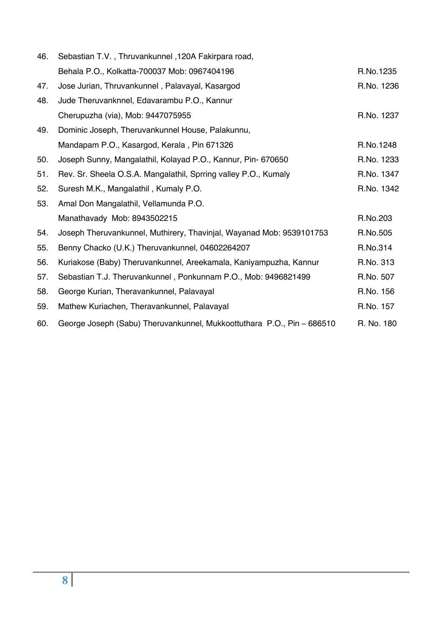| 46. | Sebastian T.V., Thruvankunnel, 120A Fakirpara road,                    |            |
|-----|------------------------------------------------------------------------|------------|
|     | Behala P.O., Kolkatta-700037 Mob: 0967404196                           | R.No.1235  |
| 47. | Jose Jurian, Thruvankunnel, Palavayal, Kasargod                        | R.No. 1236 |
| 48. | Jude Theruvanknnel, Edavarambu P.O., Kannur                            |            |
|     | Cherupuzha (via), Mob: 9447075955                                      | R.No. 1237 |
| 49. | Dominic Joseph, Theruvankunnel House, Palakunnu,                       |            |
|     | Mandapam P.O., Kasargod, Kerala, Pin 671326                            | R.No.1248  |
| 50. | Joseph Sunny, Mangalathil, Kolayad P.O., Kannur, Pin- 670650           | R.No. 1233 |
| 51. | Rev. Sr. Sheela O.S.A. Mangalathil, Sprring valley P.O., Kumaly        | R.No. 1347 |
| 52. | Suresh M.K., Mangalathil, Kumaly P.O.                                  | R.No. 1342 |
| 53. | Amal Don Mangalathil, Vellamunda P.O.                                  |            |
|     | Manathavady Mob: 8943502215                                            | R.No.203   |
| 54. | Joseph Theruvankunnel, Muthirery, Thavinjal, Wayanad Mob: 9539101753   | R.No.505   |
| 55. | Benny Chacko (U.K.) Theruvankunnel, 04602264207                        | R.No.314   |
| 56. | Kuriakose (Baby) Theruvankunnel, Areekamala, Kaniyampuzha, Kannur      | R.No. 313  |
| 57. | Sebastian T.J. Theruvankunnel, Ponkunnam P.O., Mob: 9496821499         | R.No. 507  |
| 58. | George Kurian, Theravankunnel, Palavayal                               | R.No. 156  |
| 59. | Mathew Kuriachen, Theravankunnel, Palavayal                            | R.No. 157  |
| 60. | George Joseph (Sabu) Theruvankunnel, Mukkoottuthara P.O., Pin - 686510 | R. No. 180 |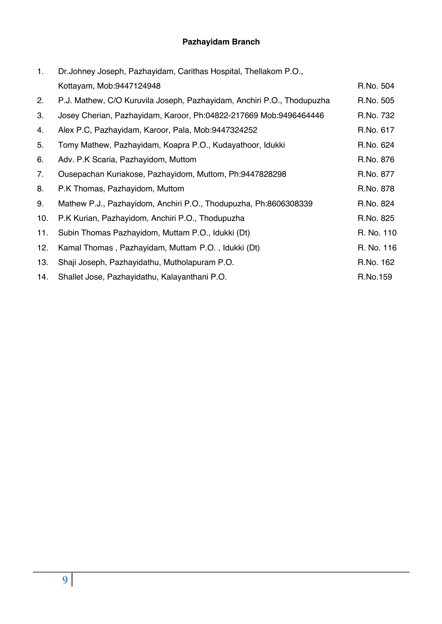## **Pazhayidam Branch**

| 1.  | Dr. Johney Joseph, Pazhayidam, Carithas Hospital, Thellakom P.O.,      |            |
|-----|------------------------------------------------------------------------|------------|
|     | Kottayam, Mob:9447124948                                               | R.No. 504  |
| 2.  | P.J. Mathew, C/O Kuruvila Joseph, Pazhayidam, Anchiri P.O., Thodupuzha | R.No. 505  |
| 3.  | Josey Cherian, Pazhayidam, Karoor, Ph:04822-217669 Mob:9496464446      | R.No. 732  |
| 4.  | Alex P.C, Pazhayidam, Karoor, Pala, Mob:9447324252                     | R.No. 617  |
| 5.  | Tomy Mathew, Pazhayidam, Koapra P.O., Kudayathoor, Idukki              | R.No. 624  |
| 6.  | Adv. P.K Scaria, Pazhayidom, Muttom                                    | R.No. 876  |
| 7.  | Ousepachan Kuriakose, Pazhayidom, Muttom, Ph:9447828298                | R.No. 877  |
| 8.  | P.K Thomas, Pazhayidom, Muttom                                         | R.No. 878  |
| 9.  | Mathew P.J., Pazhayidom, Anchiri P.O., Thodupuzha, Ph:8606308339       | R.No. 824  |
| 10. | P.K Kurian, Pazhayidom, Anchiri P.O., Thodupuzha                       | R.No. 825  |
| 11. | Subin Thomas Pazhayidom, Muttam P.O., Idukki (Dt)                      | R. No. 110 |
| 12. | Kamal Thomas, Pazhayidam, Muttam P.O., Idukki (Dt)                     | R. No. 116 |
| 13. | Shaji Joseph, Pazhayidathu, Mutholapuram P.O.                          | R.No. 162  |
| 14. | Shallet Jose, Pazhayidathu, Kalayanthani P.O.                          | R.No.159   |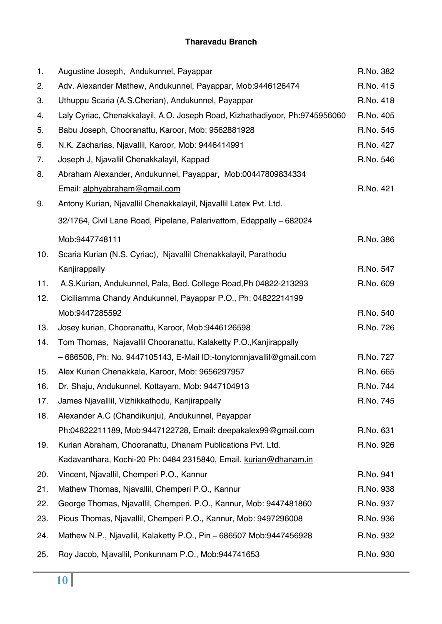#### **Tharavadu Branch**

| 1.  | Augustine Joseph, Andukunnel, Payappar                                      | R.No. 382 |
|-----|-----------------------------------------------------------------------------|-----------|
| 2.  | Adv. Alexander Mathew, Andukunnel, Payappar, Mob:9446126474                 | R.No. 415 |
| 3.  | Uthuppu Scaria (A.S.Cherian), Andukunnel, Payappar                          | R.No. 418 |
| 4.  | Laly Cyriac, Chenakkalayil, A.O. Joseph Road, Kizhathadiyoor, Ph:9745956060 | R.No. 405 |
| 5.  | Babu Joseph, Chooranattu, Karoor, Mob: 9562881928                           | R.No. 545 |
| 6.  | N.K. Zacharias, Njavallil, Karoor, Mob: 9446414991                          | R.No. 427 |
| 7.  | Joseph J, Njavallil Chenakkalayil, Kappad                                   | R.No. 546 |
| 8.  | Abraham Alexander, Andukunnel, Payappar, Mob:00447809834334                 |           |
|     | Email: alphyabraham@gmail.com                                               | R.No. 421 |
| 9.  | Antony Kurian, Njavallil Chenakkalayil, Njavallil Latex Pvt. Ltd.           |           |
|     | 32/1764, Civil Lane Road, Pipelane, Palarivattom, Edappally - 682024        |           |
|     | Mob:9447748111                                                              | R.No. 386 |
| 10. | Scaria Kurian (N.S. Cyriac), Njavallil Chenakkalayil, Parathodu             |           |
|     | Kanjirappally                                                               | R.No. 547 |
| 11. | A.S.Kurian, Andukunnel, Pala, Bed. College Road, Ph 04822-213293            | R.No. 609 |
| 12. | Ciciliamma Chandy Andukunnel, Payappar P.O., Ph: 04822214199                |           |
|     | Mob:9447285592                                                              | R.No. 540 |
| 13. | Josey kurian, Chooranattu, Karoor, Mob:9446126598                           | R.No. 726 |
| 14. | Tom Thomas, Najavallil Chooranattu, Kalaketty P.O., Kanjirappally           |           |
|     | - 686508, Ph: No. 9447105143, E-Mail ID:-tonytomnjavallil@gmail.com         | R.No. 727 |
| 15. | Alex Kurian Chenakkala, Karoor, Mob: 9656297957                             | R.No. 665 |
| 16. | Dr. Shaju, Andukunnel, Kottayam, Mob: 9447104913                            | R.No. 744 |
| 17. | James Njavalllil, Vizhikkathodu, Kanjirappally                              | R.No. 745 |
| 18. | Alexander A.C (Chandikunju), Andukunnel, Payappar                           |           |
|     | Ph:04822211189, Mob:9447122728, Email: deepakalex99@gmail.com               | R.No. 631 |
| 19. | Kurian Abraham, Chooranattu, Dhanam Publications Pvt. Ltd.                  | R.No. 926 |
|     | Kadavanthara, Kochi-20 Ph: 0484 2315840, Email. kurian@dhanam.in            |           |
| 20. | Vincent, Njavallil, Chemperi P.O., Kannur                                   | R.No. 941 |
| 21. | Mathew Thomas, Njavallil, Chemperi P.O., Kannur                             | R.No. 938 |
| 22. | George Thomas, Njavallil, Chemperi. P.O., Kannur, Mob: 9447481860           | R.No. 937 |
| 23. | Pious Thomas, Njavallil, Chemperi P.O., Kannur, Mob: 9497296008             | R.No. 936 |
| 24. | Mathew N.P., Njavallil, Kalaketty P.O., Pin - 686507 Mob:9447456928         | R.No. 932 |
| 25. | Roy Jacob, Njavallil, Ponkunnam P.O., Mob:944741653                         | R.No. 930 |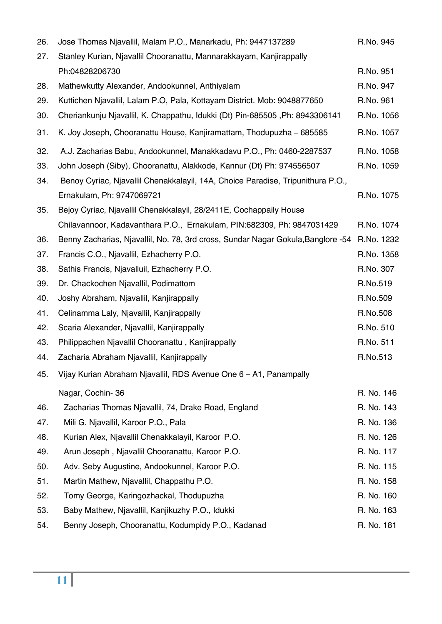| 26. | Jose Thomas Njavallil, Malam P.O., Manarkadu, Ph: 9447137289                     | R.No. 945  |
|-----|----------------------------------------------------------------------------------|------------|
| 27. | Stanley Kurian, Njavallil Chooranattu, Mannarakkayam, Kanjirappally              |            |
|     | Ph:04828206730                                                                   | R.No. 951  |
| 28. | Mathewkutty Alexander, Andookunnel, Anthiyalam                                   | R.No. 947  |
| 29. | Kuttichen Njavallil, Lalam P.O, Pala, Kottayam District. Mob: 9048877650         | R.No. 961  |
| 30. | Cheriankunju Njavallil, K. Chappathu, Idukki (Dt) Pin-685505, Ph: 8943306141     | R.No. 1056 |
| 31. | K. Joy Joseph, Chooranattu House, Kanjiramattam, Thodupuzha – 685585             | R.No. 1057 |
| 32. | A.J. Zacharias Babu, Andookunnel, Manakkadavu P.O., Ph: 0460-2287537             | R.No. 1058 |
| 33. | John Joseph (Siby), Chooranattu, Alakkode, Kannur (Dt) Ph: 974556507             | R.No. 1059 |
| 34. | Benoy Cyriac, Njavallil Chenakkalayil, 14A, Choice Paradise, Tripunithura P.O.,  |            |
|     | Ernakulam, Ph: 9747069721                                                        | R.No. 1075 |
| 35. | Bejoy Cyriac, Njavallil Chenakkalayil, 28/2411E, Cochappaily House               |            |
|     | Chilavannoor, Kadavanthara P.O., Ernakulam, PIN:682309, Ph: 9847031429           | R.No. 1074 |
| 36. | Benny Zacharias, Njavallil, No. 78, 3rd cross, Sundar Nagar Gokula, Banglore -54 | R.No. 1232 |
| 37. | Francis C.O., Njavallil, Ezhacherry P.O.                                         | R.No. 1358 |
| 38. | Sathis Francis, Njavalluil, Ezhacherry P.O.                                      | R.No. 307  |
| 39. | Dr. Chackochen Njavallil, Podimattom                                             | R.No.519   |
| 40. | Joshy Abraham, Njavallil, Kanjirappally                                          | R.No.509   |
| 41. | Celinamma Laly, Njavallil, Kanjirappally                                         | R.No.508   |
| 42. | Scaria Alexander, Njavallil, Kanjirappally                                       | R.No. 510  |
| 43. | Philippachen Njavallil Chooranattu, Kanjirappally                                | R.No. 511  |
| 44. | Zacharia Abraham Njavallil, Kanjirappally                                        | R.No.513   |
| 45. | Vijay Kurian Abraham Njavallil, RDS Avenue One 6 – A1, Panampally                |            |
|     | Nagar, Cochin-36                                                                 | R. No. 146 |
| 46. | Zacharias Thomas Njavallil, 74, Drake Road, England                              | R. No. 143 |
| 47. | Mili G. Njavallil, Karoor P.O., Pala                                             | R. No. 136 |
| 48. | Kurian Alex, Njavallil Chenakkalayil, Karoor P.O.                                | R. No. 126 |
| 49. | Arun Joseph, Njavallil Chooranattu, Karoor P.O.                                  | R. No. 117 |
| 50. | Adv. Seby Augustine, Andookunnel, Karoor P.O.                                    | R. No. 115 |
| 51. | Martin Mathew, Njavallil, Chappathu P.O.                                         | R. No. 158 |
| 52. | Tomy George, Karingozhackal, Thodupuzha                                          | R. No. 160 |
| 53. | Baby Mathew, Njavallil, Kanjikuzhy P.O., Idukki                                  | R. No. 163 |
| 54. | Benny Joseph, Chooranattu, Kodumpidy P.O., Kadanad                               | R. No. 181 |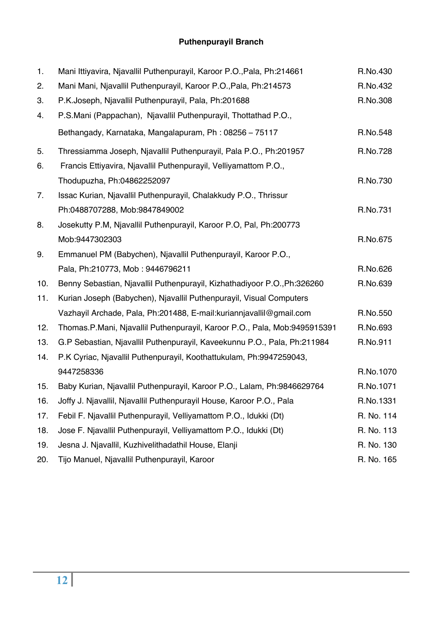# **Puthenpurayil Branch**

| 1.  | Mani Ittiyavira, Njavallil Puthenpurayil, Karoor P.O., Pala, Ph:214661    | R.No.430   |
|-----|---------------------------------------------------------------------------|------------|
| 2.  | Mani Mani, Njavallil Puthenpurayil, Karoor P.O., Pala, Ph:214573          | R.No.432   |
| 3.  | P.K.Joseph, Njavallil Puthenpurayil, Pala, Ph:201688                      | R.No.308   |
| 4.  | P.S.Mani (Pappachan), Njavallil Puthenpurayil, Thottathad P.O.,           |            |
|     | Bethangady, Karnataka, Mangalapuram, Ph: 08256 - 75117                    | R.No.548   |
| 5.  | Thressiamma Joseph, Njavallil Puthenpurayil, Pala P.O., Ph:201957         | R.No.728   |
| 6.  | Francis Ettiyavira, Njavallil Puthenpurayil, Velliyamattom P.O.,          |            |
|     | Thodupuzha, Ph:04862252097                                                | R.No.730   |
| 7.  | Issac Kurian, Njavallil Puthenpurayil, Chalakkudy P.O., Thrissur          |            |
|     | Ph:0488707288, Mob:9847849002                                             | R.No.731   |
| 8.  | Josekutty P.M, Njavallil Puthenpurayil, Karoor P.O, Pal, Ph:200773        |            |
|     | Mob:9447302303                                                            | R.No.675   |
| 9.  | Emmanuel PM (Babychen), Njavallil Puthenpurayil, Karoor P.O.,             |            |
|     | Pala, Ph:210773, Mob: 9446796211                                          | R.No.626   |
| 10. | Benny Sebastian, Njavallil Puthenpurayil, Kizhathadiyoor P.O., Ph:326260  | R.No.639   |
| 11. | Kurian Joseph (Babychen), Njavallil Puthenpurayil, Visual Computers       |            |
|     | Vazhayil Archade, Pala, Ph:201488, E-mail:kuriannjavallil@gmail.com       | R.No.550   |
| 12. | Thomas.P.Mani, Njavallil Puthenpurayil, Karoor P.O., Pala, Mob:9495915391 | R.No.693   |
| 13. | G.P Sebastian, Njavallil Puthenpurayil, Kaveekunnu P.O., Pala, Ph:211984  | R.No.911   |
| 14. | P.K Cyriac, Njavallil Puthenpurayil, Koothattukulam, Ph:9947259043,       |            |
|     | 9447258336                                                                | R.No.1070  |
| 15. | Baby Kurian, Njavallil Puthenpurayil, Karoor P.O., Lalam, Ph:9846629764   | R.No.1071  |
| 16. | Joffy J. Njavallil, Njavallil Puthenpurayil House, Karoor P.O., Pala      | R.No.1331  |
| 17. | Febil F. Njavallil Puthenpurayil, Velliyamattom P.O., Idukki (Dt)         | R. No. 114 |
| 18. | Jose F. Njavallil Puthenpurayil, Velliyamattom P.O., Idukki (Dt)          | R. No. 113 |
| 19. | Jesna J. Njavallil, Kuzhivelithadathil House, Elanji                      | R. No. 130 |
| 20. | Tijo Manuel, Njavallil Puthenpurayil, Karoor                              | R. No. 165 |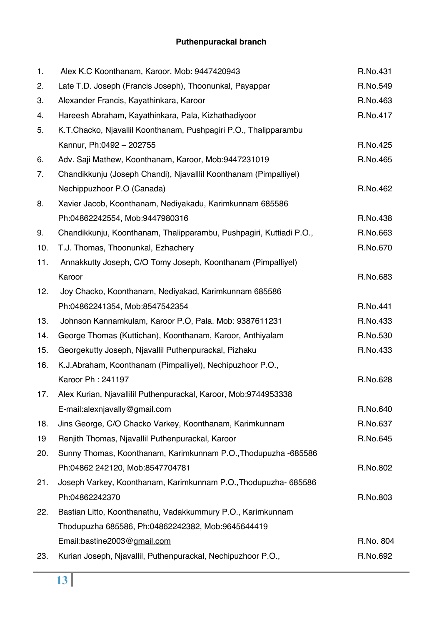## **Puthenpurackal branch**

| 1.  | Alex K.C Koonthanam, Karoor, Mob: 9447420943                        | R.No.431  |
|-----|---------------------------------------------------------------------|-----------|
| 2.  | Late T.D. Joseph (Francis Joseph), Thoonunkal, Payappar             | R.No.549  |
| 3.  | Alexander Francis, Kayathinkara, Karoor                             | R.No.463  |
| 4.  | Hareesh Abraham, Kayathinkara, Pala, Kizhathadiyoor                 | R.No.417  |
| 5.  | K.T.Chacko, Njavallil Koonthanam, Pushpagiri P.O., Thalipparambu    |           |
|     | Kannur, Ph:0492 - 202755                                            | R.No.425  |
| 6.  | Adv. Saji Mathew, Koonthanam, Karoor, Mob:9447231019                | R.No.465  |
| 7.  | Chandikkunju (Joseph Chandi), Njavalllil Koonthanam (Pimpalliyel)   |           |
|     | Nechippuzhoor P.O (Canada)                                          | R.No.462  |
| 8.  | Xavier Jacob, Koonthanam, Nediyakadu, Karimkunnam 685586            |           |
|     | Ph:04862242554, Mob:9447980316                                      | R.No.438  |
| 9.  | Chandikkunju, Koonthanam, Thalipparambu, Pushpagiri, Kuttiadi P.O., | R.No.663  |
| 10. | T.J. Thomas, Thoonunkal, Ezhachery                                  | R.No.670  |
| 11. | Annakkutty Joseph, C/O Tomy Joseph, Koonthanam (Pimpalliyel)        |           |
|     | Karoor                                                              | R.No.683  |
| 12. | Joy Chacko, Koonthanam, Nediyakad, Karimkunnam 685586               |           |
|     | Ph:04862241354, Mob:8547542354                                      | R.No.441  |
| 13. | Johnson Kannamkulam, Karoor P.O, Pala. Mob: 9387611231              | R.No.433  |
| 14. | George Thomas (Kuttichan), Koonthanam, Karoor, Anthiyalam           | R.No.530  |
| 15. | Georgekutty Joseph, Njavallil Puthenpurackal, Pizhaku               | R.No.433  |
| 16. | K.J.Abraham, Koonthanam (Pimpalliyel), Nechipuzhoor P.O.,           |           |
|     | Karoor Ph: 241197                                                   | R.No.628  |
| 17. | Alex Kurian, Njavallilil Puthenpurackal, Karoor, Mob:9744953338     |           |
|     | E-mail:alexnjavally@gmail.com                                       | R.No.640  |
| 18. | Jins George, C/O Chacko Varkey, Koonthanam, Karimkunnam             | R.No.637  |
| 19  | Renjith Thomas, Njavallil Puthenpurackal, Karoor                    | R.No.645  |
| 20. | Sunny Thomas, Koonthanam, Karimkunnam P.O., Thodupuzha -685586      |           |
|     | Ph:04862 242120, Mob:8547704781                                     | R.No.802  |
| 21. | Joseph Varkey, Koonthanam, Karimkunnam P.O., Thodupuzha- 685586     |           |
|     | Ph:04862242370                                                      | R.No.803  |
| 22. | Bastian Litto, Koonthanathu, Vadakkummury P.O., Karimkunnam         |           |
|     | Thodupuzha 685586, Ph:04862242382, Mob:9645644419                   |           |
|     | Email:bastine2003@gmail.com                                         | R.No. 804 |
| 23. | Kurian Joseph, Njavallil, Puthenpurackal, Nechipuzhoor P.O.,        | R.No.692  |
|     |                                                                     |           |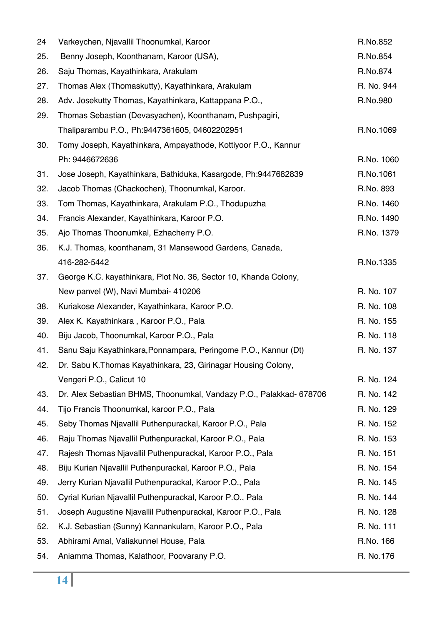| 24  | Varkeychen, Njavallil Thoonumkal, Karoor                            | R.No.852   |
|-----|---------------------------------------------------------------------|------------|
| 25. | Benny Joseph, Koonthanam, Karoor (USA),                             | R.No.854   |
| 26. | Saju Thomas, Kayathinkara, Arakulam                                 | R.No.874   |
| 27. | Thomas Alex (Thomaskutty), Kayathinkara, Arakulam                   | R. No. 944 |
| 28. | Adv. Josekutty Thomas, Kayathinkara, Kattappana P.O.,               | R.No.980   |
| 29. | Thomas Sebastian (Devasyachen), Koonthanam, Pushpagiri,             |            |
|     | Thaliparambu P.O., Ph:9447361605, 04602202951                       | R.No.1069  |
| 30. | Tomy Joseph, Kayathinkara, Ampayathode, Kottiyoor P.O., Kannur      |            |
|     | Ph: 9446672636                                                      | R.No. 1060 |
| 31. | Jose Joseph, Kayathinkara, Bathiduka, Kasargode, Ph:9447682839      | R.No.1061  |
| 32. | Jacob Thomas (Chackochen), Thoonumkal, Karoor.                      | R.No. 893  |
| 33. | Tom Thomas, Kayathinkara, Arakulam P.O., Thodupuzha                 | R.No. 1460 |
| 34. | Francis Alexander, Kayathinkara, Karoor P.O.                        | R.No. 1490 |
| 35. | Ajo Thomas Thoonumkal, Ezhacherry P.O.                              | R.No. 1379 |
| 36. | K.J. Thomas, koonthanam, 31 Mansewood Gardens, Canada,              |            |
|     | 416-282-5442                                                        | R.No.1335  |
| 37. | George K.C. kayathinkara, Plot No. 36, Sector 10, Khanda Colony,    |            |
|     | New panvel (W), Navi Mumbai- 410206                                 | R. No. 107 |
| 38. | Kuriakose Alexander, Kayathinkara, Karoor P.O.                      | R. No. 108 |
| 39. | Alex K. Kayathinkara, Karoor P.O., Pala                             | R. No. 155 |
| 40. | Biju Jacob, Thoonumkal, Karoor P.O., Pala                           | R. No. 118 |
| 41. | Sanu Saju Kayathinkara, Ponnampara, Peringome P.O., Kannur (Dt)     | R. No. 137 |
| 42. | Dr. Sabu K.Thomas Kayathinkara, 23, Girinagar Housing Colony,       |            |
|     | Vengeri P.O., Calicut 10                                            | R. No. 124 |
| 43. | Dr. Alex Sebastian BHMS, Thoonumkal, Vandazy P.O., Palakkad- 678706 | R. No. 142 |
| 44. | Tijo Francis Thoonumkal, karoor P.O., Pala                          | R. No. 129 |
| 45. | Seby Thomas Njavallil Puthenpurackal, Karoor P.O., Pala             | R. No. 152 |
| 46. | Raju Thomas Njavallil Puthenpurackal, Karoor P.O., Pala             | R. No. 153 |
| 47. | Rajesh Thomas Njavallil Puthenpurackal, Karoor P.O., Pala           | R. No. 151 |
| 48. | Biju Kurian Njavallil Puthenpurackal, Karoor P.O., Pala             | R. No. 154 |
| 49. | Jerry Kurian Njavallil Puthenpurackal, Karoor P.O., Pala            | R. No. 145 |
| 50. | Cyrial Kurian Njavallil Puthenpurackal, Karoor P.O., Pala           | R. No. 144 |
| 51. | Joseph Augustine Njavallil Puthenpurackal, Karoor P.O., Pala        | R. No. 128 |
| 52. | K.J. Sebastian (Sunny) Kannankulam, Karoor P.O., Pala               | R. No. 111 |
| 53. | Abhirami Amal, Valiakunnel House, Pala                              | R.No. 166  |
| 54. | Aniamma Thomas, Kalathoor, Poovarany P.O.                           | R. No.176  |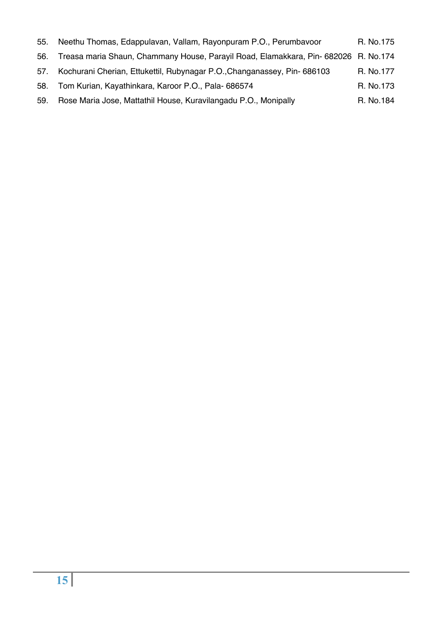| 55. | Neethu Thomas, Edappulavan, Vallam, Rayonpuram P.O., Perumbavoor                    | R. No.175 |
|-----|-------------------------------------------------------------------------------------|-----------|
| 56. | Treasa maria Shaun, Chammany House, Parayil Road, Elamakkara, Pin- 682026 R. No.174 |           |
| 57. | Kochurani Cherian, Ettukettil, Rubynagar P.O., Changanassey, Pin-686103             | R. No.177 |
| 58. | Tom Kurian, Kayathinkara, Karoor P.O., Pala- 686574                                 | R. No.173 |
| 59. | Rose Maria Jose, Mattathil House, Kuravilangadu P.O., Monipally                     | R. No.184 |
|     |                                                                                     |           |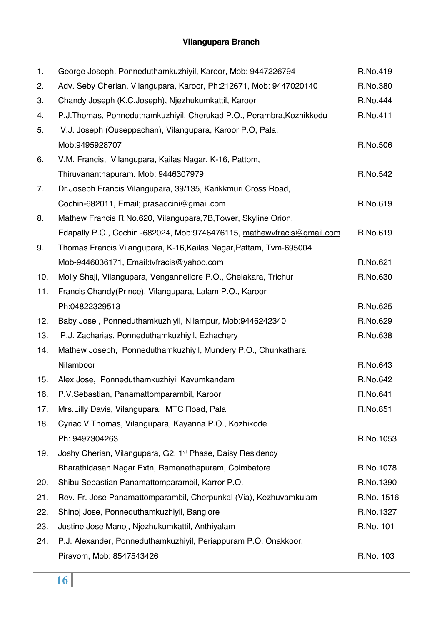## **Vilangupara Branch**

| 1.  | George Joseph, Ponneduthamkuzhiyil, Karoor, Mob: 9447226794            | R.No.419   |
|-----|------------------------------------------------------------------------|------------|
| 2.  | Adv. Seby Cherian, Vilangupara, Karoor, Ph:212671, Mob: 9447020140     | R.No.380   |
| 3.  | Chandy Joseph (K.C.Joseph), Njezhukumkattil, Karoor                    | R.No.444   |
| 4.  | P.J.Thomas, Ponneduthamkuzhiyil, Cherukad P.O., Perambra, Kozhikkodu   | R.No.411   |
| 5.  | V.J. Joseph (Ouseppachan), Vilangupara, Karoor P.O, Pala.              |            |
|     | Mob:9495928707                                                         | R.No.506   |
| 6.  | V.M. Francis, Vilangupara, Kailas Nagar, K-16, Pattom,                 |            |
|     | Thiruvananthapuram. Mob: 9446307979                                    | R.No.542   |
| 7.  | Dr. Joseph Francis Vilangupara, 39/135, Karikkmuri Cross Road,         |            |
|     | Cochin-682011, Email; prasadcini@gmail.com                             | R.No.619   |
| 8.  | Mathew Francis R.No.620, Vilangupara, 7B, Tower, Skyline Orion,        |            |
|     | Edapally P.O., Cochin -682024, Mob:9746476115, mathewyfracis@gmail.com | R.No.619   |
| 9.  | Thomas Francis Vilangupara, K-16, Kailas Nagar, Pattam, Tvm-695004     |            |
|     | Mob-9446036171, Email:tvfracis@yahoo.com                               | R.No.621   |
| 10. | Molly Shaji, Vilangupara, Vengannellore P.O., Chelakara, Trichur       | R.No.630   |
| 11. | Francis Chandy (Prince), Vilangupara, Lalam P.O., Karoor               |            |
|     | Ph:04822329513                                                         | R.No.625   |
| 12. | Baby Jose, Ponneduthamkuzhiyil, Nilampur, Mob:9446242340               | R.No.629   |
| 13. | P.J. Zacharias, Ponneduthamkuzhiyil, Ezhachery                         | R.No.638   |
| 14. | Mathew Joseph, Ponneduthamkuzhiyil, Mundery P.O., Chunkathara          |            |
|     | Nilamboor                                                              | R.No.643   |
| 15. | Alex Jose, Ponneduthamkuzhiyil Kavumkandam                             | R.No.642   |
| 16. | P.V.Sebastian, Panamattomparambil, Karoor                              | R.No.641   |
| 17. | Mrs. Lilly Davis, Vilangupara, MTC Road, Pala                          | R.No.851   |
| 18. | Cyriac V Thomas, Vilangupara, Kayanna P.O., Kozhikode                  |            |
|     | Ph: 9497304263                                                         | R.No.1053  |
| 19. | Joshy Cherian, Vilangupara, G2, 1 <sup>st</sup> Phase, Daisy Residency |            |
|     | Bharathidasan Nagar Extn, Ramanathapuram, Coimbatore                   | R.No.1078  |
| 20. | Shibu Sebastian Panamattomparambil, Karror P.O.                        | R.No.1390  |
| 21. | Rev. Fr. Jose Panamattomparambil, Cherpunkal (Via), Kezhuvamkulam      | R.No. 1516 |
| 22. | Shinoj Jose, Ponneduthamkuzhiyil, Banglore                             | R.No.1327  |
| 23. | Justine Jose Manoj, Njezhukumkattil, Anthiyalam                        | R.No. 101  |
| 24. | P.J. Alexander, Ponneduthamkuzhiyil, Periappuram P.O. Onakkoor,        |            |
|     | Piravom, Mob: 8547543426                                               | R.No. 103  |
|     |                                                                        |            |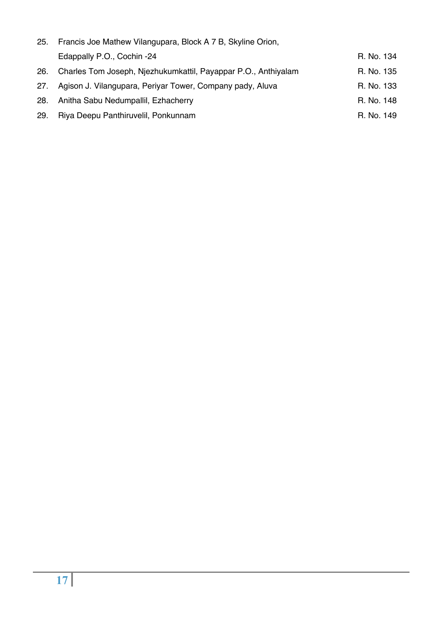| 25. | Francis Joe Mathew Vilangupara, Block A 7 B, Skyline Orion,    |            |  |
|-----|----------------------------------------------------------------|------------|--|
|     | Edappally P.O., Cochin -24                                     | R. No. 134 |  |
| 26. | Charles Tom Joseph, Njezhukumkattil, Payappar P.O., Anthiyalam | R. No. 135 |  |
| 27. | Agison J. Vilangupara, Periyar Tower, Company pady, Aluva      | R. No. 133 |  |
| 28. | Anitha Sabu Nedumpallil, Ezhacherry                            | R. No. 148 |  |
| 29. | Riya Deepu Panthiruvelil, Ponkunnam                            | R. No. 149 |  |